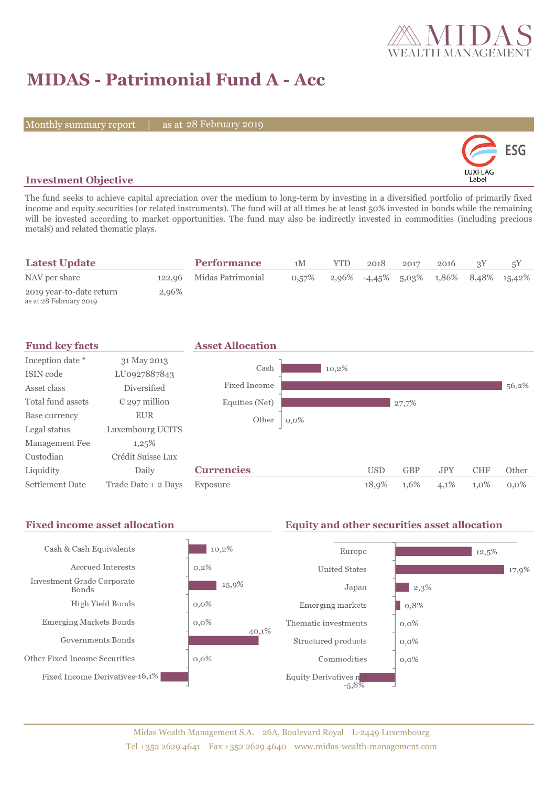

# **MIDAS - Patrimonial Fund A - Acc**

Monthly summary report | as at 28 February 2019



### **Investment Objective**

The fund seeks to achieve capital apreciation over the medium to long-term by investing in a diversified portfolio of primarily fixed income and equity securities (or related instruments). The fund will at all times be at least 50% invested in bonds while the remaining will be invested according to market opportunities. The fund may also be indirectly invested in commodities (including precious metals) and related thematic plays.

| <b>Latest Update</b>                               |       | <b>Performance</b>       | 1M       | <b>YTD</b> | 2018 | 2017 | 2016 |                                               |  |
|----------------------------------------------------|-------|--------------------------|----------|------------|------|------|------|-----------------------------------------------|--|
| NAV per share                                      |       | 122,96 Midas Patrimonial | $0.57\%$ |            |      |      |      | $2,96\%$ -4,45\% 5,03\% 1,86\% 8,48\% 15,42\% |  |
| 2019 year-to-date return<br>as at 28 February 2019 | 2,96% |                          |          |            |      |      |      |                                               |  |

| <b>Fund key facts</b>  |                        | <b>Asset Allocation</b> |         |            |            |            |            |         |
|------------------------|------------------------|-------------------------|---------|------------|------------|------------|------------|---------|
| Inception date *       | 31 May 2013            |                         |         |            |            |            |            |         |
| ISIN code              | LU0927887843           | Cash                    | 10,2%   |            |            |            |            |         |
| Asset class            | Diversified            | <b>Fixed Income</b>     |         |            |            |            |            | 56,2%   |
| Total fund assets      | $\epsilon$ 297 million | Equities (Net)          |         |            | 27,7%      |            |            |         |
| Base currency          | <b>EUR</b>             | Other                   | $0,0\%$ |            |            |            |            |         |
| Legal status           | Luxembourg UCITS       |                         |         |            |            |            |            |         |
| Management Fee         | 1,25%                  |                         |         |            |            |            |            |         |
| Custodian              | Crédit Suisse Lux      |                         |         |            |            |            |            |         |
| Liquidity              | Daily                  | <b>Currencies</b>       |         | <b>USD</b> | <b>GBP</b> | <b>JPY</b> | <b>CHF</b> | Other   |
| <b>Settlement Date</b> | Trade Date + 2 Days    | Exposure                |         | 18,9%      | 1,6%       | 4,1%       | 1,0%       | $0.0\%$ |

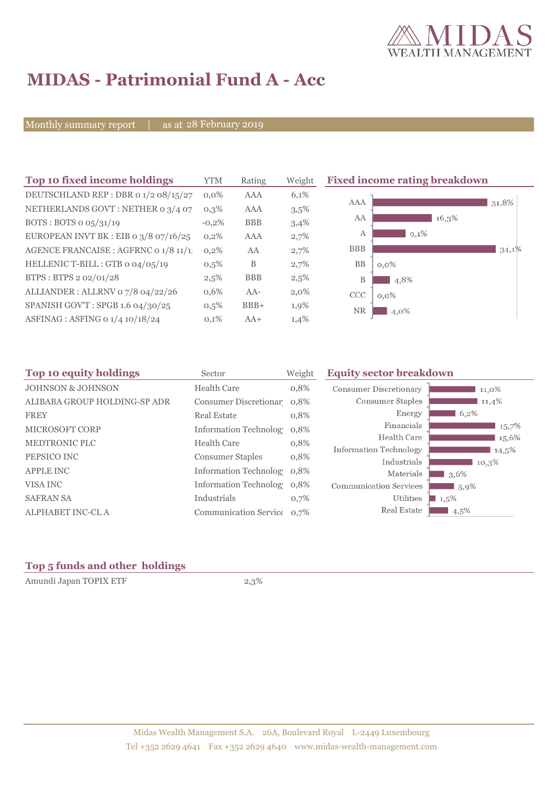

# **MIDAS - Patrimonial Fund A - Acc**

Monthly summary report | as at 28 February 2019

| Top 10 fixed income holdings            | <b>YTM</b> | Rating     | Weight  | <b>Fixed income rating breakdown</b> |  |  |
|-----------------------------------------|------------|------------|---------|--------------------------------------|--|--|
| DEUTSCHLAND REP : DBR 0 1/2 08/15/27    | $0.0\%$    | AAA        | 6,1%    |                                      |  |  |
| NETHERLANDS GOVT: NETHER 0 3/4 07       | $0,3\%$    | <b>AAA</b> | 3,5%    | <b>AAA</b><br>31,8%                  |  |  |
| BOTS: BOTS $o$ $o5/31/19$               | $-0,2\%$   | <b>BBB</b> | 3,4%    | AA<br>16,3%                          |  |  |
| EUROPEAN INVT BK : EIB o $3/8$ 07/16/25 | 0,2%       | <b>AAA</b> | 2,7%    | $9,1\%$<br>A                         |  |  |
| AGENCE FRANCAISE : AGFRNC 0 1/8 11/1    | 0,2%       | AA         | 2,7%    | <b>BBB</b><br>34,1%                  |  |  |
| HELLENIC T-BILL : GTB 0 04/05/19        | $0,5\%$    | B          | 2,7%    | BB<br>$0,0\%$                        |  |  |
| BTPS: BTPS 2 02/01/28                   | 2,5%       | <b>BBB</b> | 2,5%    | B<br>4,8%                            |  |  |
| ALLIANDER: ALLRNV 07/8 04/22/26         | 0,6%       | $AA-$      | $2,0\%$ | <b>CCC</b><br>$0,0\%$                |  |  |
| SPANISH GOV'T: SPGB 1.6 04/30/25        | 0,5%       | $BBB+$     | 1,9%    | <b>NR</b><br>4,0%                    |  |  |
| ASFINAG : ASFING 0 1/4 10/18/24         | 0,1%       | $AA+$      | 1,4%    |                                      |  |  |

| Sector             | Weight                                 | <b>Equity sector breakdown</b>                                                                                                                                                |                     |
|--------------------|----------------------------------------|-------------------------------------------------------------------------------------------------------------------------------------------------------------------------------|---------------------|
| <b>Health Care</b> | 0,8%                                   | <b>Consumer Discretionary</b>                                                                                                                                                 | 11,0%               |
|                    |                                        | Consumer Staples                                                                                                                                                              | 11,4%               |
| <b>Real Estate</b> | 0,8%                                   | Energy                                                                                                                                                                        | 6,2%                |
|                    |                                        | Financials                                                                                                                                                                    | 15,7%               |
|                    |                                        | Health Care                                                                                                                                                                   | 15,6%               |
|                    |                                        | <b>Information Technology</b>                                                                                                                                                 | 14,5%               |
|                    |                                        | Industrials                                                                                                                                                                   | 10,3%               |
|                    |                                        | Materials                                                                                                                                                                     | $13,6\%$            |
|                    |                                        | <b>Communication Services</b>                                                                                                                                                 | $1,5,9\%$           |
| Industrials        | 0,7%                                   | Utilities                                                                                                                                                                     | $\blacksquare$ 1,5% |
|                    |                                        | Real Estate                                                                                                                                                                   | $4,5\%$             |
|                    | Health Care<br><b>Consumer Staples</b> | Consumer Discretionar 0,8%<br><b>Information Technology</b><br>0,8%<br>0,8%<br>0,8%<br>Information Technolog 0,8%<br>Information Technolog 0.8%<br>Communication Service 0,7% |                     |

### **Top 5 funds and other holdings**

Amundi Japan TOPIX ETF 2,3%